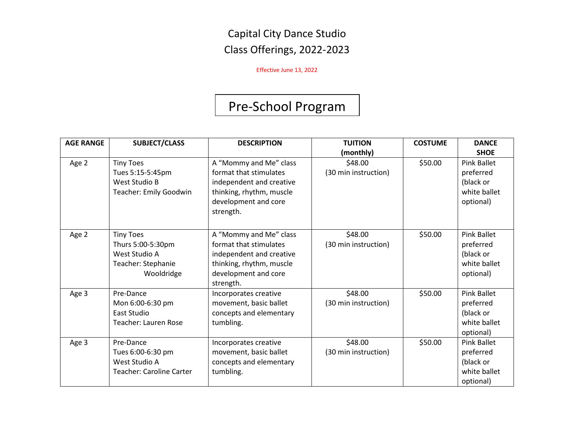Effective June 13, 2022

# Pre-School Program

| <b>AGE RANGE</b> | <b>SUBJECT/CLASS</b>                                                                       | <b>DESCRIPTION</b>                                                                                                                            | <b>TUITION</b>                               | <b>COSTUME</b> | <b>DANCE</b>                                                                      |
|------------------|--------------------------------------------------------------------------------------------|-----------------------------------------------------------------------------------------------------------------------------------------------|----------------------------------------------|----------------|-----------------------------------------------------------------------------------|
| Age 2            | <b>Tiny Toes</b><br>Tues 5:15-5:45pm<br>West Studio B<br>Teacher: Emily Goodwin            | A "Mommy and Me" class<br>format that stimulates<br>independent and creative<br>thinking, rhythm, muscle<br>development and core<br>strength. | (monthly)<br>\$48.00<br>(30 min instruction) | \$50.00        | <b>SHOE</b><br>Pink Ballet<br>preferred<br>(black or<br>white ballet<br>optional) |
| Age 2            | <b>Tiny Toes</b><br>Thurs 5:00-5:30pm<br>West Studio A<br>Teacher: Stephanie<br>Wooldridge | A "Mommy and Me" class<br>format that stimulates<br>independent and creative<br>thinking, rhythm, muscle<br>development and core<br>strength. | \$48.00<br>(30 min instruction)              | \$50.00        | <b>Pink Ballet</b><br>preferred<br>(black or<br>white ballet<br>optional)         |
| Age 3            | Pre-Dance<br>Mon 6:00-6:30 pm<br>East Studio<br><b>Teacher: Lauren Rose</b>                | Incorporates creative<br>movement, basic ballet<br>concepts and elementary<br>tumbling.                                                       | \$48.00<br>(30 min instruction)              | \$50.00        | <b>Pink Ballet</b><br>preferred<br>(black or<br>white ballet<br>optional)         |
| Age 3            | Pre-Dance<br>Tues 6:00-6:30 pm<br>West Studio A<br><b>Teacher: Caroline Carter</b>         | Incorporates creative<br>movement, basic ballet<br>concepts and elementary<br>tumbling.                                                       | \$48.00<br>(30 min instruction)              | \$50.00        | <b>Pink Ballet</b><br>preferred<br>(black or<br>white ballet<br>optional)         |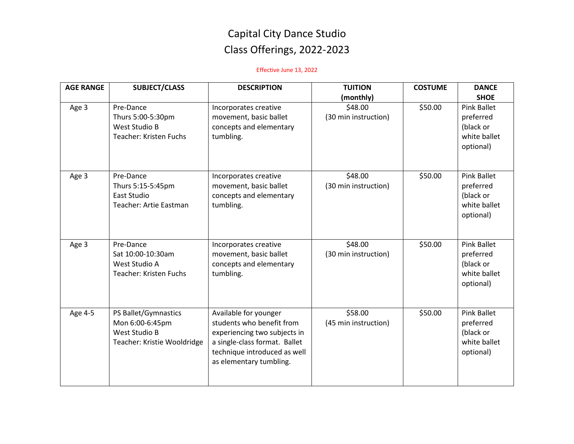| <b>AGE RANGE</b> | <b>SUBJECT/CLASS</b>                                                                    | <b>DESCRIPTION</b>                                                                                                                                                             | <b>TUITION</b><br>(monthly)     | <b>COSTUME</b> | <b>DANCE</b><br><b>SHOE</b>                                               |
|------------------|-----------------------------------------------------------------------------------------|--------------------------------------------------------------------------------------------------------------------------------------------------------------------------------|---------------------------------|----------------|---------------------------------------------------------------------------|
| Age 3            | Pre-Dance<br>Thurs 5:00-5:30pm<br>West Studio B<br>Teacher: Kristen Fuchs               | Incorporates creative<br>movement, basic ballet<br>concepts and elementary<br>tumbling.                                                                                        | \$48.00<br>(30 min instruction) | \$50.00        | Pink Ballet<br>preferred<br>(black or<br>white ballet<br>optional)        |
| Age 3            | Pre-Dance<br>Thurs 5:15-5:45pm<br><b>East Studio</b><br>Teacher: Artie Eastman          | Incorporates creative<br>movement, basic ballet<br>concepts and elementary<br>tumbling.                                                                                        | \$48.00<br>(30 min instruction) | \$50.00        | <b>Pink Ballet</b><br>preferred<br>(black or<br>white ballet<br>optional) |
| Age 3            | Pre-Dance<br>Sat 10:00-10:30am<br>West Studio A<br><b>Teacher: Kristen Fuchs</b>        | Incorporates creative<br>movement, basic ballet<br>concepts and elementary<br>tumbling.                                                                                        | \$48.00<br>(30 min instruction) | \$50.00        | <b>Pink Ballet</b><br>preferred<br>(black or<br>white ballet<br>optional) |
| Age 4-5          | PS Ballet/Gymnastics<br>Mon 6:00-6:45pm<br>West Studio B<br>Teacher: Kristie Wooldridge | Available for younger<br>students who benefit from<br>experiencing two subjects in<br>a single-class format. Ballet<br>technique introduced as well<br>as elementary tumbling. | \$58.00<br>(45 min instruction) | \$50.00        | <b>Pink Ballet</b><br>preferred<br>(black or<br>white ballet<br>optional) |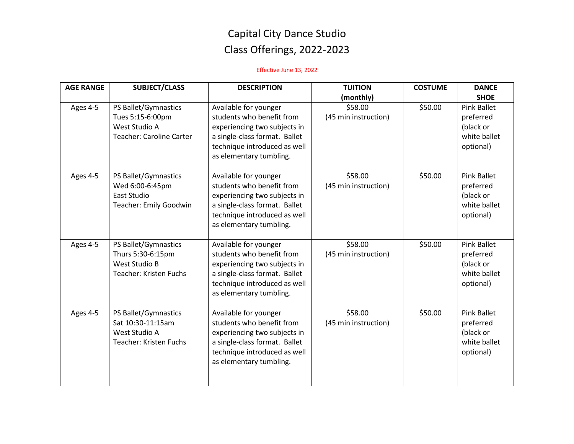| <b>AGE RANGE</b> | <b>SUBJECT/CLASS</b>                                                                               | <b>DESCRIPTION</b>                                                                                                                                                             | <b>TUITION</b>                               | <b>COSTUME</b> | <b>DANCE</b><br><b>SHOE</b>                                               |
|------------------|----------------------------------------------------------------------------------------------------|--------------------------------------------------------------------------------------------------------------------------------------------------------------------------------|----------------------------------------------|----------------|---------------------------------------------------------------------------|
| Ages 4-5         | PS Ballet/Gymnastics<br>Tues 5:15-6:00pm<br>West Studio A<br><b>Teacher: Caroline Carter</b>       | Available for younger<br>students who benefit from<br>experiencing two subjects in<br>a single-class format. Ballet<br>technique introduced as well<br>as elementary tumbling. | (monthly)<br>\$58.00<br>(45 min instruction) | \$50.00        | <b>Pink Ballet</b><br>preferred<br>(black or<br>white ballet<br>optional) |
| Ages 4-5         | PS Ballet/Gymnastics<br>Wed 6:00-6:45pm<br><b>East Studio</b><br>Teacher: Emily Goodwin            | Available for younger<br>students who benefit from<br>experiencing two subjects in<br>a single-class format. Ballet<br>technique introduced as well<br>as elementary tumbling. | \$58.00<br>(45 min instruction)              | \$50.00        | <b>Pink Ballet</b><br>preferred<br>(black or<br>white ballet<br>optional) |
| Ages 4-5         | PS Ballet/Gymnastics<br>Thurs 5:30-6:15pm<br><b>West Studio B</b><br><b>Teacher: Kristen Fuchs</b> | Available for younger<br>students who benefit from<br>experiencing two subjects in<br>a single-class format. Ballet<br>technique introduced as well<br>as elementary tumbling. | \$58.00<br>(45 min instruction)              | \$50.00        | <b>Pink Ballet</b><br>preferred<br>(black or<br>white ballet<br>optional) |
| Ages 4-5         | PS Ballet/Gymnastics<br>Sat 10:30-11:15am<br>West Studio A<br><b>Teacher: Kristen Fuchs</b>        | Available for younger<br>students who benefit from<br>experiencing two subjects in<br>a single-class format. Ballet<br>technique introduced as well<br>as elementary tumbling. | \$58.00<br>(45 min instruction)              | \$50.00        | <b>Pink Ballet</b><br>preferred<br>(black or<br>white ballet<br>optional) |